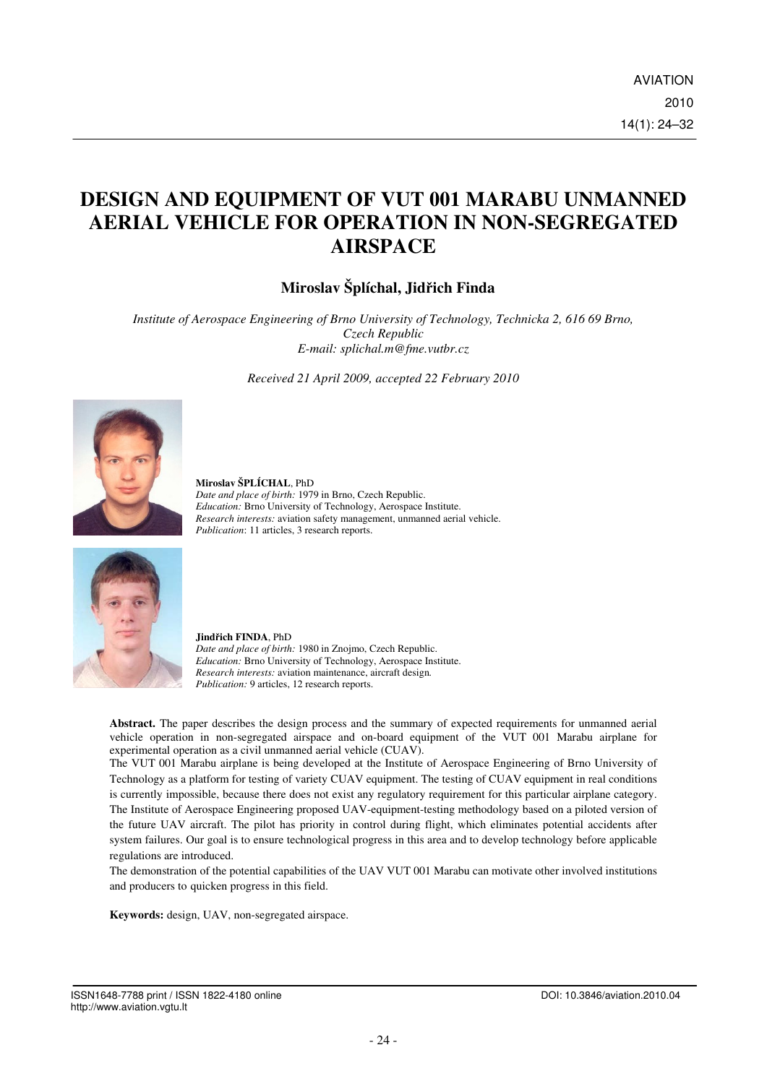# **DESIGN AND EQUIPMENT OF VUT 001 MARABU UNMANNED AERIAL VEHICLE FOR OPERATION IN NON-SEGREGATED AIRSPACE**

# **Miroslav Šplíchal, Jid**ř**ich Finda**

*Institute of Aerospace Engineering of Brno University of Technology, Technicka 2, 616 69 Brno, Czech Republic E-mail: splichal.m@fme.vutbr.cz* 

*Received 21 April 2009, accepted 22 February 2010* 



**Miroslav ŠPLÍCHAL**, PhD *Date and place of birth:* 1979 in Brno, Czech Republic. *Education:* Brno University of Technology, Aerospace Institute. *Research interests:* aviation safety management, unmanned aerial vehicle. *Publication*: 11 articles, 3 research reports.



#### **Jind**ř**ich FINDA**, PhD

*Date and place of birth:* 1980 in Znojmo, Czech Republic. *Education:* Brno University of Technology, Aerospace Institute. *Research interests:* aviation maintenance, aircraft design*. Publication:* 9 articles, 12 research reports.

**Abstract.** The paper describes the design process and the summary of expected requirements for unmanned aerial vehicle operation in non-segregated airspace and on-board equipment of the VUT 001 Marabu airplane for experimental operation as a civil unmanned aerial vehicle (CUAV).

The VUT 001 Marabu airplane is being developed at the Institute of Aerospace Engineering of Brno University of Technology as a platform for testing of variety CUAV equipment. The testing of CUAV equipment in real conditions is currently impossible, because there does not exist any regulatory requirement for this particular airplane category. The Institute of Aerospace Engineering proposed UAV-equipment-testing methodology based on a piloted version of the future UAV aircraft. The pilot has priority in control during flight, which eliminates potential accidents after system failures. Our goal is to ensure technological progress in this area and to develop technology before applicable regulations are introduced.

The demonstration of the potential capabilities of the UAV VUT 001 Marabu can motivate other involved institutions and producers to quicken progress in this field.

**Keywords:** design, UAV, non-segregated airspace.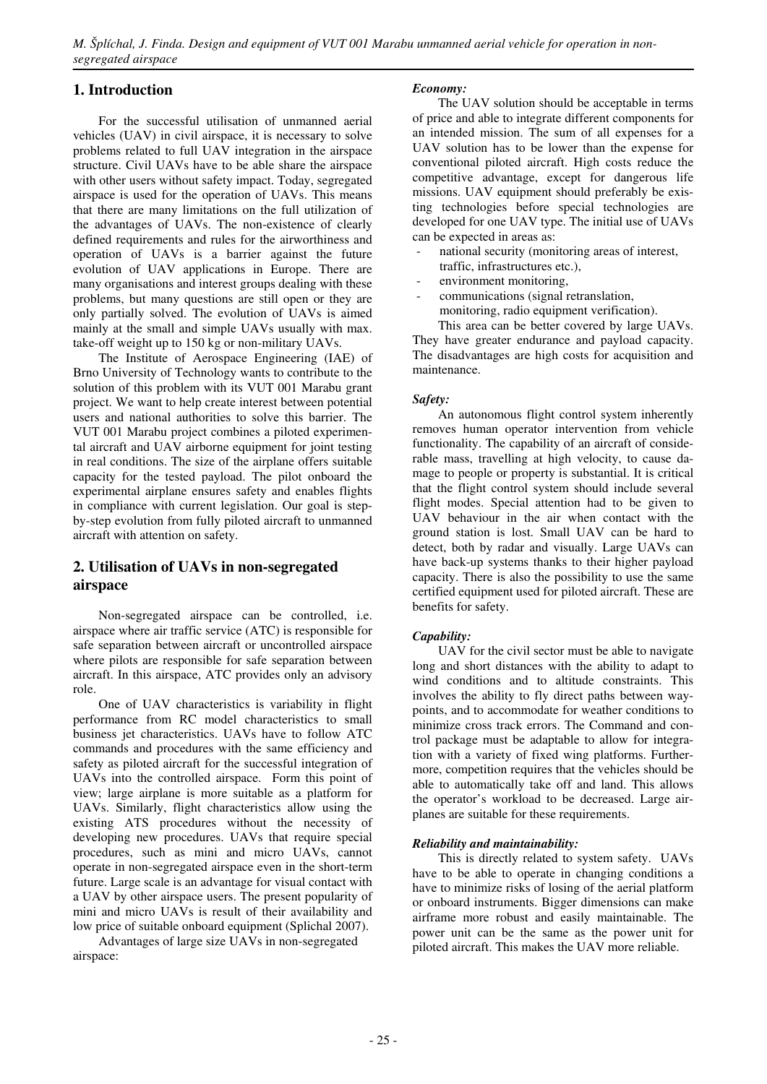# **1. Introduction**

For the successful utilisation of unmanned aerial vehicles (UAV) in civil airspace, it is necessary to solve problems related to full UAV integration in the airspace structure. Civil UAVs have to be able share the airspace with other users without safety impact. Today, segregated airspace is used for the operation of UAVs. This means that there are many limitations on the full utilization of the advantages of UAVs. The non-existence of clearly defined requirements and rules for the airworthiness and operation of UAVs is a barrier against the future evolution of UAV applications in Europe. There are many organisations and interest groups dealing with these problems, but many questions are still open or they are only partially solved. The evolution of UAVs is aimed mainly at the small and simple UAVs usually with max. take-off weight up to 150 kg or non-military UAVs.

The Institute of Aerospace Engineering (IAE) of Brno University of Technology wants to contribute to the solution of this problem with its VUT 001 Marabu grant project. We want to help create interest between potential users and national authorities to solve this barrier. The VUT 001 Marabu project combines a piloted experimental aircraft and UAV airborne equipment for joint testing in real conditions. The size of the airplane offers suitable capacity for the tested payload. The pilot onboard the experimental airplane ensures safety and enables flights in compliance with current legislation. Our goal is stepby-step evolution from fully piloted aircraft to unmanned aircraft with attention on safety.

# **2. Utilisation of UAVs in non-segregated airspace**

Non-segregated airspace can be controlled, i.e. airspace where air traffic service (ATC) is responsible for safe separation between aircraft or uncontrolled airspace where pilots are responsible for safe separation between aircraft. In this airspace, ATC provides only an advisory role.

One of UAV characteristics is variability in flight performance from RC model characteristics to small business jet characteristics. UAVs have to follow ATC commands and procedures with the same efficiency and safety as piloted aircraft for the successful integration of UAVs into the controlled airspace. Form this point of view; large airplane is more suitable as a platform for UAVs. Similarly, flight characteristics allow using the existing ATS procedures without the necessity of developing new procedures. UAVs that require special procedures, such as mini and micro UAVs, cannot operate in non-segregated airspace even in the short-term future. Large scale is an advantage for visual contact with a UAV by other airspace users. The present popularity of mini and micro UAVs is result of their availability and low price of suitable onboard equipment (Splichal 2007).

Advantages of large size UAVs in non-segregated airspace:

# *Economy:*

The UAV solution should be acceptable in terms of price and able to integrate different components for an intended mission. The sum of all expenses for a UAV solution has to be lower than the expense for conventional piloted aircraft. High costs reduce the competitive advantage, except for dangerous life missions. UAV equipment should preferably be existing technologies before special technologies are developed for one UAV type. The initial use of UAVs can be expected in areas as:

- national security (monitoring areas of interest, traffic, infrastructures etc.),
- environment monitoring,
- communications (signal retranslation, monitoring, radio equipment verification). This area can be better covered by large UAVs.

They have greater endurance and payload capacity. The disadvantages are high costs for acquisition and maintenance.

# *Safety:*

An autonomous flight control system inherently removes human operator intervention from vehicle functionality. The capability of an aircraft of considerable mass, travelling at high velocity, to cause damage to people or property is substantial. It is critical that the flight control system should include several flight modes. Special attention had to be given to UAV behaviour in the air when contact with the ground station is lost. Small UAV can be hard to detect, both by radar and visually. Large UAVs can have back-up systems thanks to their higher payload capacity. There is also the possibility to use the same certified equipment used for piloted aircraft. These are benefits for safety.

# *Capability:*

UAV for the civil sector must be able to navigate long and short distances with the ability to adapt to wind conditions and to altitude constraints. This involves the ability to fly direct paths between waypoints, and to accommodate for weather conditions to minimize cross track errors. The Command and control package must be adaptable to allow for integration with a variety of fixed wing platforms. Furthermore, competition requires that the vehicles should be able to automatically take off and land. This allows the operator's workload to be decreased. Large airplanes are suitable for these requirements.

# *Reliability and maintainability:*

This is directly related to system safety. UAVs have to be able to operate in changing conditions a have to minimize risks of losing of the aerial platform or onboard instruments. Bigger dimensions can make airframe more robust and easily maintainable. The power unit can be the same as the power unit for piloted aircraft. This makes the UAV more reliable.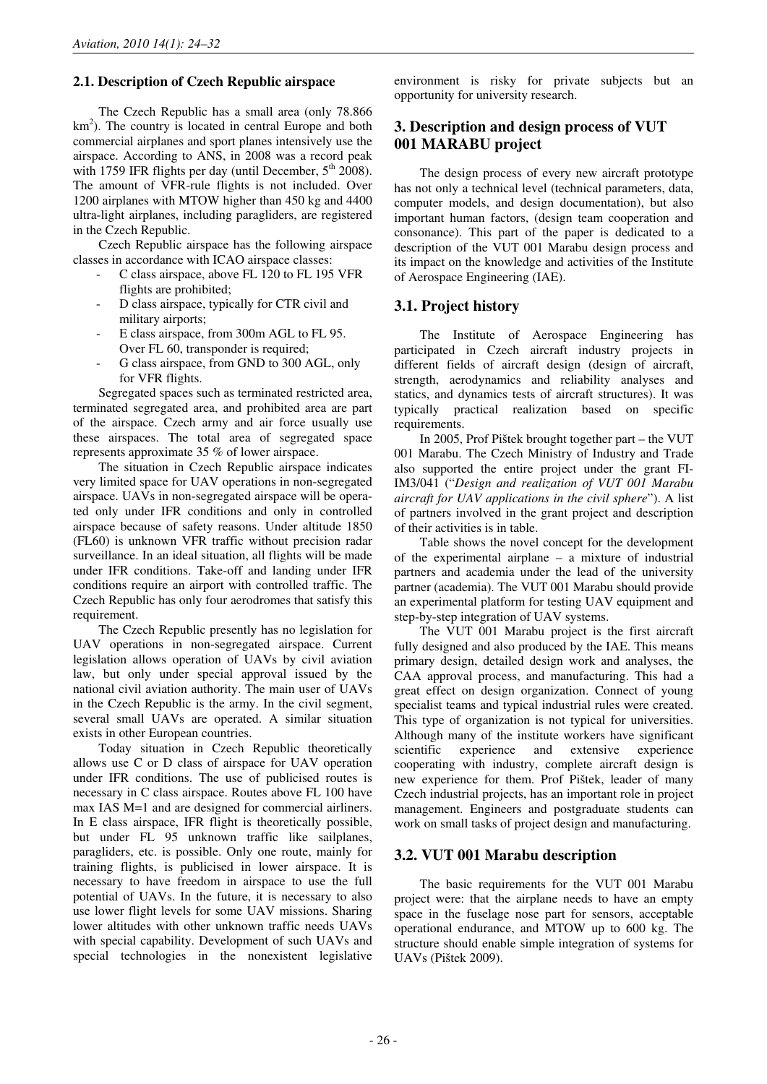### **2.1. Description of Czech Republic airspace**

The Czech Republic has a small area (only 78.866 km<sup>2</sup>). The country is located in central Europe and both commercial airplanes and sport planes intensively use the airspace. According to ANS, in 2008 was a record peak with 1759 IFR flights per day (until December,  $5<sup>th</sup> 2008$ ). The amount of VFR-rule flights is not included. Over 1200 airplanes with MTOW higher than 450 kg and 4400 ultra-light airplanes, including paragliders, are registered in the Czech Republic.

Czech Republic airspace has the following airspace classes in accordance with ICAO airspace classes:

- C class airspace, above FL 120 to FL 195 VFR flights are prohibited;
- D class airspace, typically for CTR civil and military airports;
- E class airspace, from 300m AGL to FL 95. Over FL 60, transponder is required;
- G class airspace, from GND to 300 AGL, only for VFR flights.

Segregated spaces such as terminated restricted area, terminated segregated area, and prohibited area are part of the airspace. Czech army and air force usually use these airspaces. The total area of segregated space represents approximate 35 % of lower airspace.

The situation in Czech Republic airspace indicates very limited space for UAV operations in non-segregated airspace. UAVs in non-segregated airspace will be operated only under IFR conditions and only in controlled airspace because of safety reasons. Under altitude 1850 (FL60) is unknown VFR traffic without precision radar surveillance. In an ideal situation, all flights will be made under IFR conditions. Take-off and landing under IFR conditions require an airport with controlled traffic. The Czech Republic has only four aerodromes that satisfy this requirement.

The Czech Republic presently has no legislation for UAV operations in non-segregated airspace. Current legislation allows operation of UAVs by civil aviation law, but only under special approval issued by the national civil aviation authority. The main user of UAVs in the Czech Republic is the army. In the civil segment, several small UAVs are operated. A similar situation exists in other European countries.

Today situation in Czech Republic theoretically allows use C or D class of airspace for UAV operation under IFR conditions. The use of publicised routes is necessary in C class airspace. Routes above FL 100 have max IAS M=1 and are designed for commercial airliners. In E class airspace, IFR flight is theoretically possible, but under FL 95 unknown traffic like sailplanes, paragliders, etc. is possible. Only one route, mainly for training flights, is publicised in lower airspace. It is necessary to have freedom in airspace to use the full potential of UAVs. In the future, it is necessary to also use lower flight levels for some UAV missions. Sharing lower altitudes with other unknown traffic needs UAVs with special capability. Development of such UAVs and special technologies in the nonexistent legislative

environment is risky for private subjects but an opportunity for university research.

# **3. Description and design process of VUT 001 MARABU project**

The design process of every new aircraft prototype has not only a technical level (technical parameters, data, computer models, and design documentation), but also important human factors, (design team cooperation and consonance). This part of the paper is dedicated to a description of the VUT 001 Marabu design process and its impact on the knowledge and activities of the Institute of Aerospace Engineering (IAE).

# **3.1. Project history**

The Institute of Aerospace Engineering has participated in Czech aircraft industry projects in different fields of aircraft design (design of aircraft, strength, aerodynamics and reliability analyses and statics, and dynamics tests of aircraft structures). It was typically practical realization based on specific requirements.

In 2005, Prof Pištek brought together part – the VUT 001 Marabu. The Czech Ministry of Industry and Trade also supported the entire project under the grant FI-IM3/041 ("*Design and realization of VUT 001 Marabu aircraft for UAV applications in the civil sphere*"). A list of partners involved in the grant project and description of their activities is in table.

Table shows the novel concept for the development of the experimental airplane – a mixture of industrial partners and academia under the lead of the university partner (academia). The VUT 001 Marabu should provide an experimental platform for testing UAV equipment and step-by-step integration of UAV systems.

The VUT 001 Marabu project is the first aircraft fully designed and also produced by the IAE. This means primary design, detailed design work and analyses, the CAA approval process, and manufacturing. This had a great effect on design organization. Connect of young specialist teams and typical industrial rules were created. This type of organization is not typical for universities. Although many of the institute workers have significant scientific experience and extensive experience cooperating with industry, complete aircraft design is new experience for them. Prof Pištek, leader of many Czech industrial projects, has an important role in project management. Engineers and postgraduate students can work on small tasks of project design and manufacturing.

### **3.2. VUT 001 Marabu description**

The basic requirements for the VUT 001 Marabu project were: that the airplane needs to have an empty space in the fuselage nose part for sensors, acceptable operational endurance, and MTOW up to 600 kg. The structure should enable simple integration of systems for UAVs (Pištek 2009).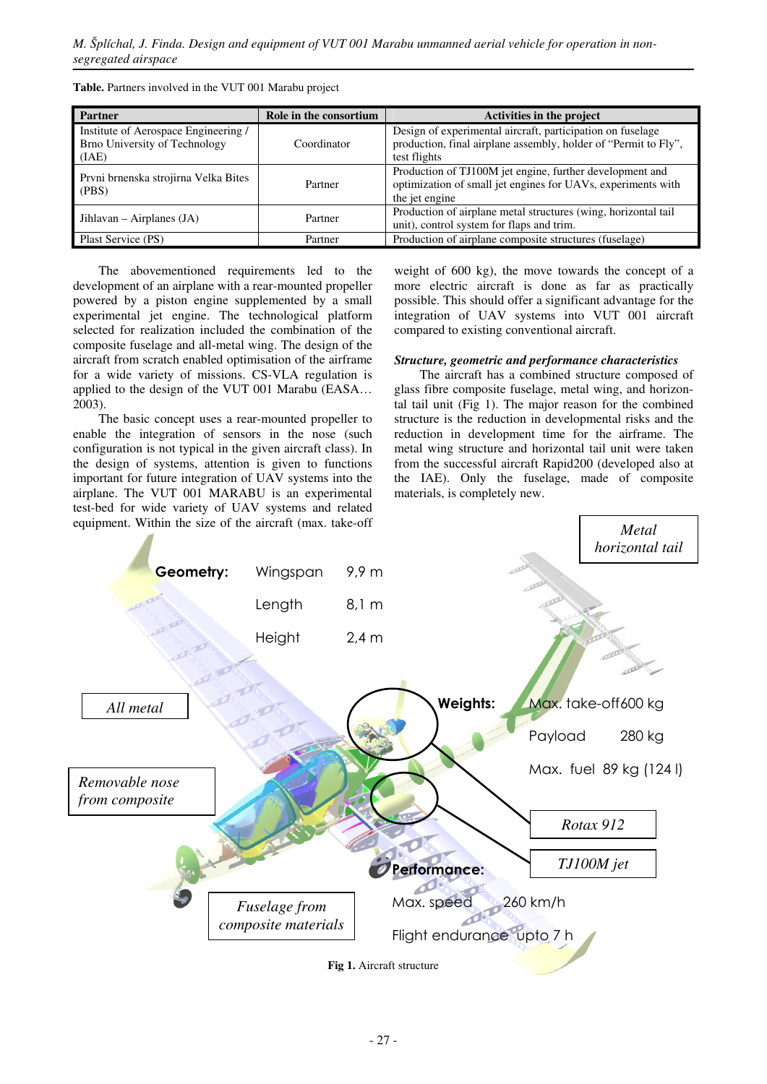| <b>Partner</b>                                                                 | Role in the consortium | Activities in the project                                                                                                                     |
|--------------------------------------------------------------------------------|------------------------|-----------------------------------------------------------------------------------------------------------------------------------------------|
| Institute of Aerospace Engineering /<br>Brno University of Technology<br>(IAE) | Coordinator            | Design of experimental aircraft, participation on fuselage<br>production, final airplane assembly, holder of "Permit to Fly",<br>test flights |
| Prvni brnenska strojirna Velka Bites<br>(PBS)                                  | Partner                | Production of TJ100M jet engine, further development and<br>optimization of small jet engines for UAVs, experiments with<br>the jet engine    |
| Jihlavan – Airplanes $(JA)$                                                    | Partner                | Production of airplane metal structures (wing, horizontal tail<br>unit), control system for flaps and trim.                                   |
| Plast Service (PS)                                                             | Partner                | Production of airplane composite structures (fuselage)                                                                                        |

**Table.** Partners involved in the VUT 001 Marabu project

The abovementioned requirements led to the development of an airplane with a rear-mounted propeller powered by a piston engine supplemented by a small experimental jet engine. The technological platform selected for realization included the combination of the composite fuselage and all-metal wing. The design of the aircraft from scratch enabled optimisation of the airframe for a wide variety of missions. CS-VLA regulation is applied to the design of the VUT 001 Marabu (EASA… 2003).

The basic concept uses a rear-mounted propeller to enable the integration of sensors in the nose (such configuration is not typical in the given aircraft class). In the design of systems, attention is given to functions important for future integration of UAV systems into the airplane. The VUT 001 MARABU is an experimental test-bed for wide variety of UAV systems and related equipment. Within the size of the aircraft (max. take-off

weight of 600 kg), the move towards the concept of a more electric aircraft is done as far as practically possible. This should offer a significant advantage for the integration of UAV systems into VUT 001 aircraft compared to existing conventional aircraft.

### *Structure, geometric and performance characteristics*

The aircraft has a combined structure composed of glass fibre composite fuselage, metal wing, and horizontal tail unit (Fig 1). The major reason for the combined structure is the reduction in developmental risks and the reduction in development time for the airframe. The metal wing structure and horizontal tail unit were taken from the successful aircraft Rapid200 (developed also at the IAE). Only the fuselage, made of composite materials, is completely new.

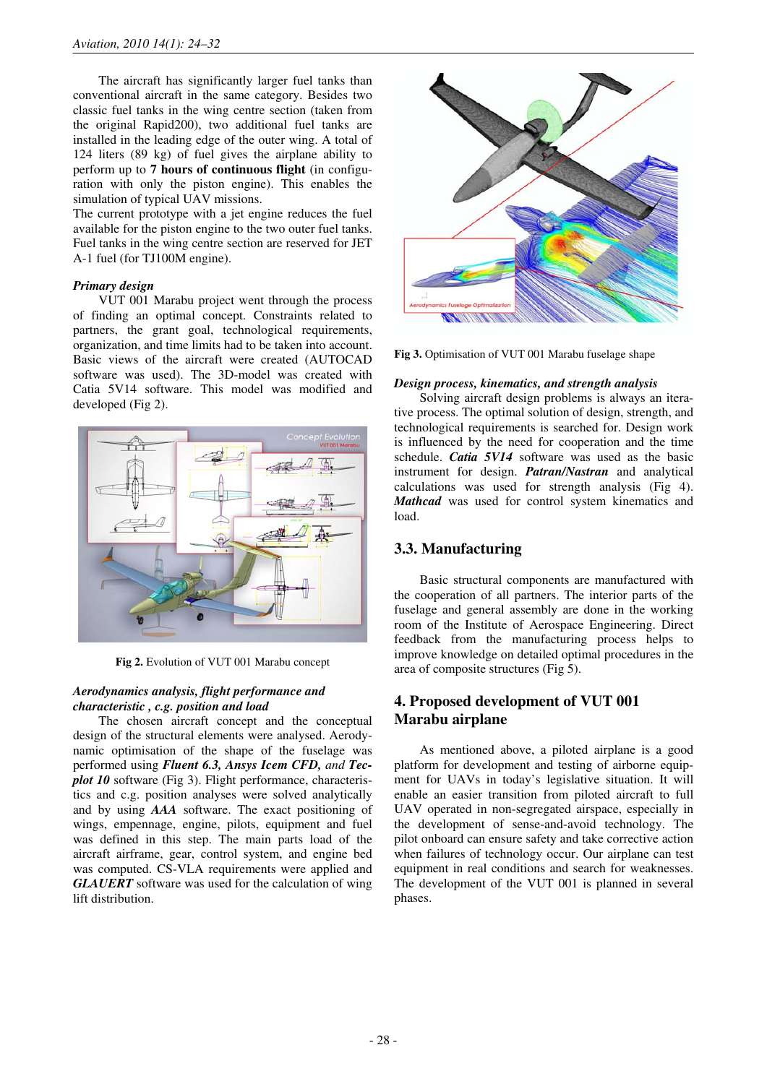The aircraft has significantly larger fuel tanks than conventional aircraft in the same category. Besides two classic fuel tanks in the wing centre section (taken from the original Rapid200), two additional fuel tanks are installed in the leading edge of the outer wing. A total of 124 liters (89 kg) of fuel gives the airplane ability to perform up to **7 hours of continuous flight** (in configuration with only the piston engine). This enables the simulation of typical UAV missions.

The current prototype with a jet engine reduces the fuel available for the piston engine to the two outer fuel tanks. Fuel tanks in the wing centre section are reserved for JET A-1 fuel (for TJ100M engine).

#### *Primary design*

VUT 001 Marabu project went through the process of finding an optimal concept. Constraints related to partners, the grant goal, technological requirements, organization, and time limits had to be taken into account. Basic views of the aircraft were created (AUTOCAD software was used). The 3D-model was created with Catia 5V14 software. This model was modified and developed (Fig 2).



**Fig 2.** Evolution of VUT 001 Marabu concept

#### *Aerodynamics analysis, flight performance and characteristic , c.g. position and load*

The chosen aircraft concept and the conceptual design of the structural elements were analysed. Aerodynamic optimisation of the shape of the fuselage was performed using *Fluent 6.3, Ansys Icem CFD, and Tecplot 10* software (Fig 3). Flight performance, characteristics and c.g. position analyses were solved analytically and by using *AAA* software. The exact positioning of wings, empennage, engine, pilots, equipment and fuel was defined in this step. The main parts load of the aircraft airframe, gear, control system, and engine bed was computed. CS-VLA requirements were applied and *GLAUERT* software was used for the calculation of wing lift distribution.



**Fig 3.** Optimisation of VUT 001 Marabu fuselage shape

#### *Design process, kinematics, and strength analysis*

Solving aircraft design problems is always an iterative process. The optimal solution of design, strength, and technological requirements is searched for. Design work is influenced by the need for cooperation and the time schedule. *Catia 5V14* software was used as the basic instrument for design. *Patran/Nastran* and analytical calculations was used for strength analysis (Fig 4). *Mathcad* was used for control system kinematics and load.

### **3.3. Manufacturing**

Basic structural components are manufactured with the cooperation of all partners. The interior parts of the fuselage and general assembly are done in the working room of the Institute of Aerospace Engineering. Direct feedback from the manufacturing process helps to improve knowledge on detailed optimal procedures in the area of composite structures (Fig 5).

# **4. Proposed development of VUT 001 Marabu airplane**

As mentioned above, a piloted airplane is a good platform for development and testing of airborne equipment for UAVs in today's legislative situation. It will enable an easier transition from piloted aircraft to full UAV operated in non-segregated airspace, especially in the development of sense-and-avoid technology. The pilot onboard can ensure safety and take corrective action when failures of technology occur. Our airplane can test equipment in real conditions and search for weaknesses. The development of the VUT 001 is planned in several phases.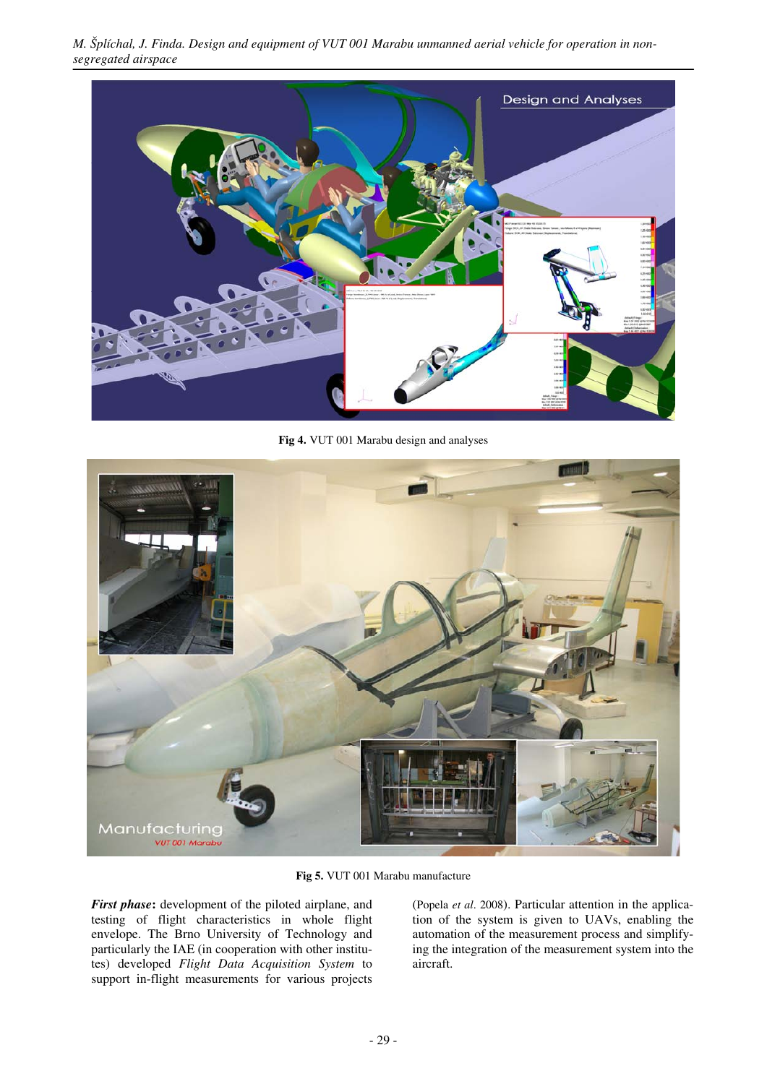*M. Šplíchal, J. Finda. Design and equipment of VUT 001 Marabu unmanned aerial vehicle for operation in nonsegregated airspace* 



**Fig 4.** VUT 001 Marabu design and analyses



**Fig 5.** VUT 001 Marabu manufacture

*First phase***:** development of the piloted airplane, and testing of flight characteristics in whole flight envelope. The Brno University of Technology and particularly the IAE (in cooperation with other institutes) developed *Flight Data Acquisition System* to support in-flight measurements for various projects

(Popela *et al*. 2008). Particular attention in the application of the system is given to UAVs, enabling the automation of the measurement process and simplifying the integration of the measurement system into the aircraft.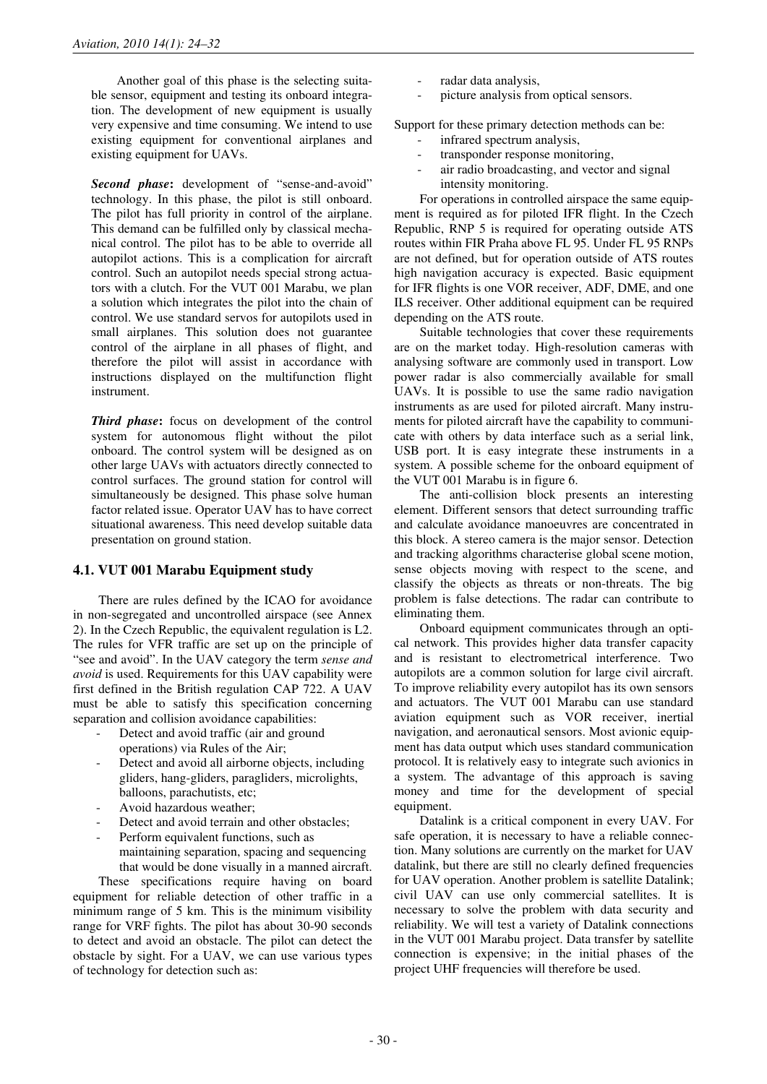Another goal of this phase is the selecting suitable sensor, equipment and testing its onboard integration. The development of new equipment is usually very expensive and time consuming. We intend to use existing equipment for conventional airplanes and existing equipment for UAVs.

*Second phase***:** development of "sense-and-avoid" technology. In this phase, the pilot is still onboard. The pilot has full priority in control of the airplane. This demand can be fulfilled only by classical mechanical control. The pilot has to be able to override all autopilot actions. This is a complication for aircraft control. Such an autopilot needs special strong actuators with a clutch. For the VUT 001 Marabu, we plan a solution which integrates the pilot into the chain of control. We use standard servos for autopilots used in small airplanes. This solution does not guarantee control of the airplane in all phases of flight, and therefore the pilot will assist in accordance with instructions displayed on the multifunction flight instrument.

*Third phase***:** focus on development of the control system for autonomous flight without the pilot onboard. The control system will be designed as on other large UAVs with actuators directly connected to control surfaces. The ground station for control will simultaneously be designed. This phase solve human factor related issue. Operator UAV has to have correct situational awareness. This need develop suitable data presentation on ground station.

### **4.1. VUT 001 Marabu Equipment study**

There are rules defined by the ICAO for avoidance in non-segregated and uncontrolled airspace (see Annex 2). In the Czech Republic, the equivalent regulation is L2. The rules for VFR traffic are set up on the principle of "see and avoid". In the UAV category the term *sense and avoid* is used. Requirements for this UAV capability were first defined in the British regulation CAP 722. A UAV must be able to satisfy this specification concerning separation and collision avoidance capabilities:

- Detect and avoid traffic (air and ground operations) via Rules of the Air;
- Detect and avoid all airborne objects, including gliders, hang-gliders, paragliders, microlights, balloons, parachutists, etc;
- Avoid hazardous weather;
- Detect and avoid terrain and other obstacles;
- Perform equivalent functions, such as maintaining separation, spacing and sequencing that would be done visually in a manned aircraft.

These specifications require having on board equipment for reliable detection of other traffic in a minimum range of 5 km. This is the minimum visibility range for VRF fights. The pilot has about 30-90 seconds to detect and avoid an obstacle. The pilot can detect the obstacle by sight. For a UAV, we can use various types of technology for detection such as:

- radar data analysis,
- picture analysis from optical sensors.

Support for these primary detection methods can be:

- infrared spectrum analysis,
- transponder response monitoring,
- air radio broadcasting, and vector and signal intensity monitoring.

For operations in controlled airspace the same equipment is required as for piloted IFR flight. In the Czech Republic, RNP 5 is required for operating outside ATS routes within FIR Praha above FL 95. Under FL 95 RNPs are not defined, but for operation outside of ATS routes high navigation accuracy is expected. Basic equipment for IFR flights is one VOR receiver, ADF, DME, and one ILS receiver. Other additional equipment can be required depending on the ATS route.

Suitable technologies that cover these requirements are on the market today. High-resolution cameras with analysing software are commonly used in transport. Low power radar is also commercially available for small UAVs. It is possible to use the same radio navigation instruments as are used for piloted aircraft. Many instruments for piloted aircraft have the capability to communicate with others by data interface such as a serial link, USB port. It is easy integrate these instruments in a system. A possible scheme for the onboard equipment of the VUT 001 Marabu is in figure 6.

The anti-collision block presents an interesting element. Different sensors that detect surrounding traffic and calculate avoidance manoeuvres are concentrated in this block. A stereo camera is the major sensor. Detection and tracking algorithms characterise global scene motion, sense objects moving with respect to the scene, and classify the objects as threats or non-threats. The big problem is false detections. The radar can contribute to eliminating them.

Onboard equipment communicates through an optical network. This provides higher data transfer capacity and is resistant to electrometrical interference. Two autopilots are a common solution for large civil aircraft. To improve reliability every autopilot has its own sensors and actuators. The VUT 001 Marabu can use standard aviation equipment such as VOR receiver, inertial navigation, and aeronautical sensors. Most avionic equipment has data output which uses standard communication protocol. It is relatively easy to integrate such avionics in a system. The advantage of this approach is saving money and time for the development of special equipment.

Datalink is a critical component in every UAV. For safe operation, it is necessary to have a reliable connection. Many solutions are currently on the market for UAV datalink, but there are still no clearly defined frequencies for UAV operation. Another problem is satellite Datalink; civil UAV can use only commercial satellites. It is necessary to solve the problem with data security and reliability. We will test a variety of Datalink connections in the VUT 001 Marabu project. Data transfer by satellite connection is expensive; in the initial phases of the project UHF frequencies will therefore be used.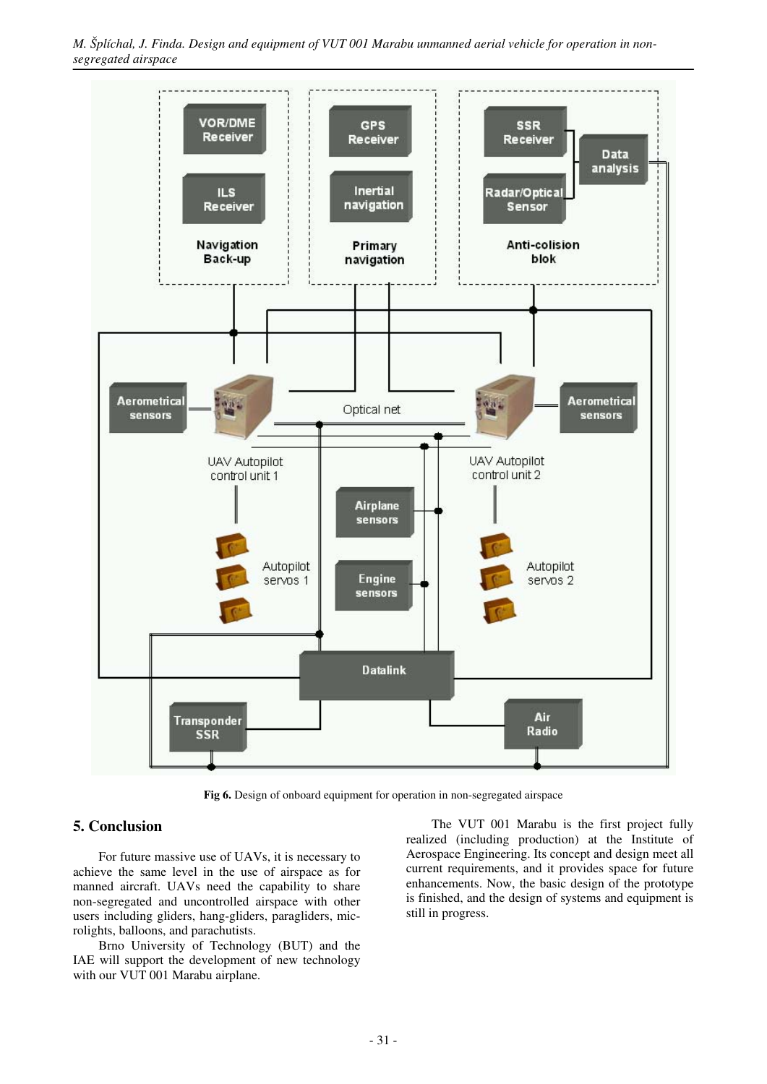

*M. Šplíchal, J. Finda. Design and equipment of VUT 001 Marabu unmanned aerial vehicle for operation in nonsegregated airspace* 

**Fig 6.** Design of onboard equipment for operation in non-segregated airspace

# **5. Conclusion**

For future massive use of UAVs, it is necessary to achieve the same level in the use of airspace as for manned aircraft. UAVs need the capability to share non-segregated and uncontrolled airspace with other users including gliders, hang-gliders, paragliders, microlights, balloons, and parachutists.

Brno University of Technology (BUT) and the IAE will support the development of new technology with our VUT 001 Marabu airplane.

The VUT 001 Marabu is the first project fully realized (including production) at the Institute of Aerospace Engineering. Its concept and design meet all current requirements, and it provides space for future enhancements. Now, the basic design of the prototype is finished, and the design of systems and equipment is still in progress.